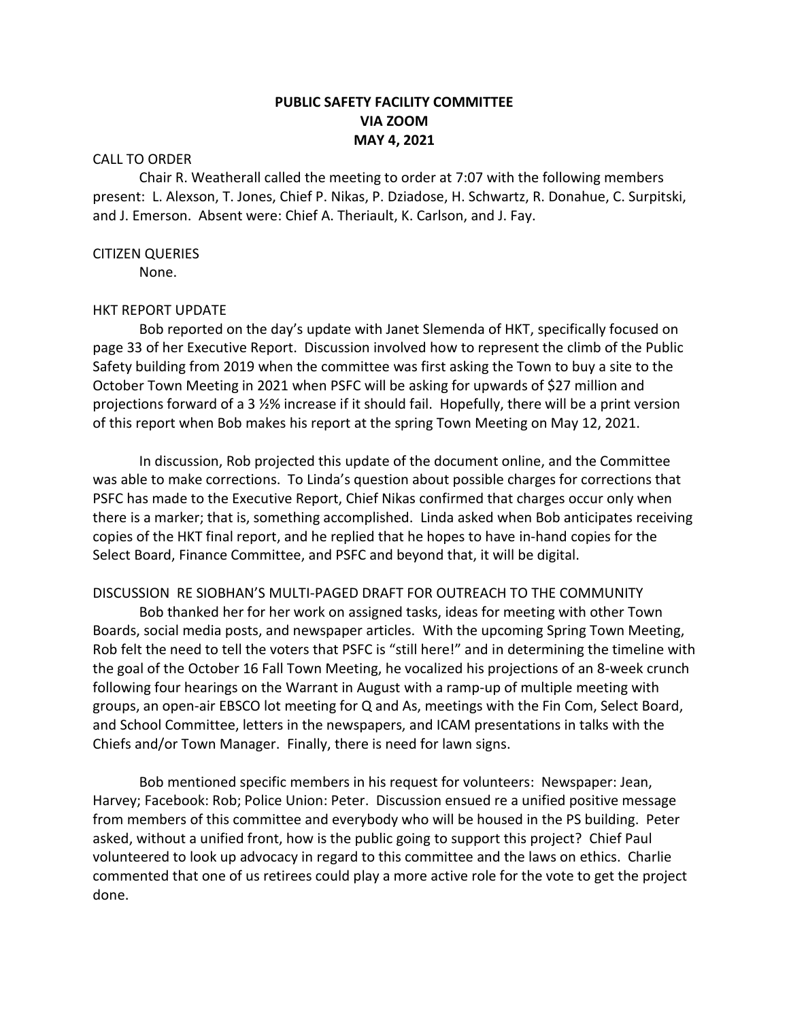# **PUBLIC SAFETY FACILITY COMMITTEE VIA ZOOM MAY 4, 2021**

## CALL TO ORDER

Chair R. Weatherall called the meeting to order at 7:07 with the following members present: L. Alexson, T. Jones, Chief P. Nikas, P. Dziadose, H. Schwartz, R. Donahue, C. Surpitski, and J. Emerson. Absent were: Chief A. Theriault, K. Carlson, and J. Fay.

### CITIZEN QUERIES

None.

# HKT REPORT UPDATE

Bob reported on the day's update with Janet Slemenda of HKT, specifically focused on page 33 of her Executive Report. Discussion involved how to represent the climb of the Public Safety building from 2019 when the committee was first asking the Town to buy a site to the October Town Meeting in 2021 when PSFC will be asking for upwards of \$27 million and projections forward of a 3 ½% increase if it should fail. Hopefully, there will be a print version of this report when Bob makes his report at the spring Town Meeting on May 12, 2021.

In discussion, Rob projected this update of the document online, and the Committee was able to make corrections. To Linda's question about possible charges for corrections that PSFC has made to the Executive Report, Chief Nikas confirmed that charges occur only when there is a marker; that is, something accomplished. Linda asked when Bob anticipates receiving copies of the HKT final report, and he replied that he hopes to have in-hand copies for the Select Board, Finance Committee, and PSFC and beyond that, it will be digital.

# DISCUSSION RE SIOBHAN'S MULTI-PAGED DRAFT FOR OUTREACH TO THE COMMUNITY

Bob thanked her for her work on assigned tasks, ideas for meeting with other Town Boards, social media posts, and newspaper articles. With the upcoming Spring Town Meeting, Rob felt the need to tell the voters that PSFC is "still here!" and in determining the timeline with the goal of the October 16 Fall Town Meeting, he vocalized his projections of an 8-week crunch following four hearings on the Warrant in August with a ramp-up of multiple meeting with groups, an open-air EBSCO lot meeting for Q and As, meetings with the Fin Com, Select Board, and School Committee, letters in the newspapers, and ICAM presentations in talks with the Chiefs and/or Town Manager. Finally, there is need for lawn signs.

Bob mentioned specific members in his request for volunteers: Newspaper: Jean, Harvey; Facebook: Rob; Police Union: Peter. Discussion ensued re a unified positive message from members of this committee and everybody who will be housed in the PS building. Peter asked, without a unified front, how is the public going to support this project? Chief Paul volunteered to look up advocacy in regard to this committee and the laws on ethics. Charlie commented that one of us retirees could play a more active role for the vote to get the project done.